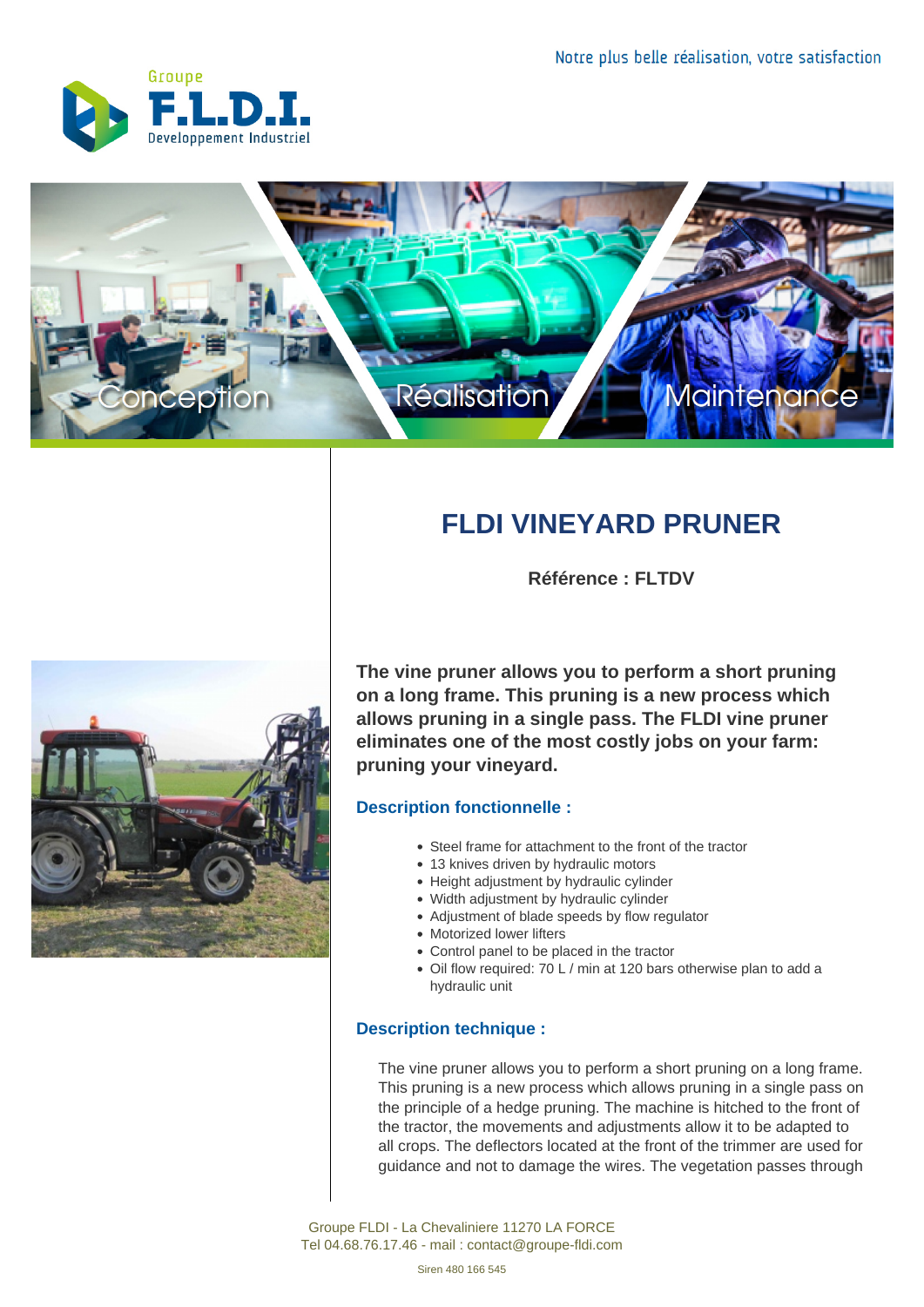



## **FLDI VINEYARD PRUNER**

**Référence : FLTDV**



**The vine pruner allows you to perform a short pruning on a long frame. This pruning is a new process which allows pruning in a single pass. The FLDI vine pruner eliminates one of the most costly jobs on your farm: pruning your vineyard.**

## **Description fonctionnelle :**

- Steel frame for attachment to the front of the tractor
- 13 knives driven by hydraulic motors
- Height adjustment by hydraulic cylinder
- Width adjustment by hydraulic cylinder
- Adjustment of blade speeds by flow regulator
- Motorized lower lifters
- Control panel to be placed in the tractor
- Oil flow required: 70 L / min at 120 bars otherwise plan to add a hydraulic unit

## **Description technique :**

The vine pruner allows you to perform a short pruning on a long frame. This pruning is a new process which allows pruning in a single pass on the principle of a hedge pruning. The machine is hitched to the front of the tractor, the movements and adjustments allow it to be adapted to all crops. The deflectors located at the front of the trimmer are used for guidance and not to damage the wires. The vegetation passes through

Groupe FLDI - La Chevaliniere 11270 LA FORCE Tel 04.68.76.17.46 - mail : contact@groupe-fldi.com